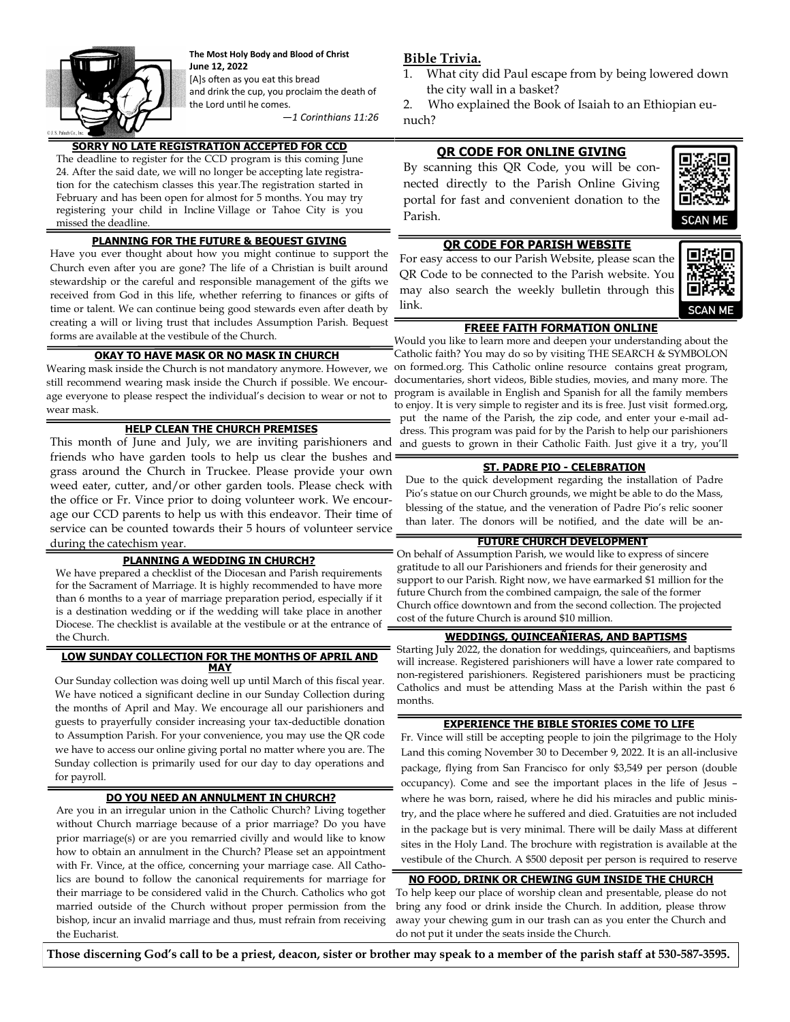

**The Most Holy Body and Blood of Christ June 12, 2022**  [A]s often as you eat this bread and drink the cup, you proclaim the death of

the Lord until he comes.

*—1 Corinthians 11:26*

# **SORRY NO LATE REGISTRATION ACCEPTED FOR CCD**

The deadline to register for the CCD program is this coming June 24. After the said date, we will no longer be accepting late registration for the catechism classes this year.The registration started in February and has been open for almost for 5 months. You may try registering your child in Incline Village or Tahoe City is you missed the deadline.

## **PLANNING FOR THE FUTURE & BEQUEST GIVING**

Have you ever thought about how you might continue to support the Church even after you are gone? The life of a Christian is built around stewardship or the careful and responsible management of the gifts we received from God in this life, whether referring to finances or gifts of time or talent. We can continue being good stewards even after death by creating a will or living trust that includes Assumption Parish. Bequest forms are available at the vestibule of the Church.

## **OKAY TO HAVE MASK OR NO MASK IN CHURCH**

Wearing mask inside the Church is not mandatory anymore. However, we still recommend wearing mask inside the Church if possible. We encourage everyone to please respect the individual's decision to wear or not to wear mask.

## **HELP CLEAN THE CHURCH PREMISES**

This month of June and July, we are inviting parishioners and friends who have garden tools to help us clear the bushes and grass around the Church in Truckee. Please provide your own weed eater, cutter, and/or other garden tools. Please check with the office or Fr. Vince prior to doing volunteer work. We encourage our CCD parents to help us with this endeavor. Their time of service can be counted towards their 5 hours of volunteer service during the catechism year.

### **PLANNING A WEDDING IN CHURCH?**

We have prepared a checklist of the Diocesan and Parish requirements for the Sacrament of Marriage. It is highly recommended to have more than 6 months to a year of marriage preparation period, especially if it is a destination wedding or if the wedding will take place in another Diocese. The checklist is available at the vestibule or at the entrance of the Church.

#### **LOW SUNDAY COLLECTION FOR THE MONTHS OF APRIL AND MAY**

Our Sunday collection was doing well up until March of this fiscal year. We have noticed a significant decline in our Sunday Collection during the months of April and May. We encourage all our parishioners and guests to prayerfully consider increasing your tax-deductible donation to Assumption Parish. For your convenience, you may use the QR code we have to access our online giving portal no matter where you are. The Sunday collection is primarily used for our day to day operations and for payroll.

### **DO YOU NEED AN ANNULMENT IN CHURCH?**

Are you in an irregular union in the Catholic Church? Living together without Church marriage because of a prior marriage? Do you have prior marriage(s) or are you remarried civilly and would like to know how to obtain an annulment in the Church? Please set an appointment with Fr. Vince, at the office, concerning your marriage case. All Catholics are bound to follow the canonical requirements for marriage for their marriage to be considered valid in the Church. Catholics who got married outside of the Church without proper permission from the bishop, incur an invalid marriage and thus, must refrain from receiving the Eucharist.

### **Bible Trivia.**

What city did Paul escape from by being lowered down the city wall in a basket?

2. Who explained the Book of Isaiah to an Ethiopian eunuch?

### **QR CODE FOR ONLINE GIVING**

By scanning this QR Code, you will be connected directly to the Parish Online Giving portal for fast and convenient donation to the Parish.



## **QR CODE FOR PARISH WEBSITE**

For easy access to our Parish Website, please scan the QR Code to be connected to the Parish website. You may also search the weekly bulletin through this link.



## **FREEE FAITH FORMATION ONLINE**

Would you like to learn more and deepen your understanding about the Catholic faith? You may do so by visiting THE SEARCH & SYMBOLON on formed.org. This Catholic online resource contains great program, documentaries, short videos, Bible studies, movies, and many more. The program is available in English and Spanish for all the family members to enjoy. It is very simple to register and its is free. Just visit formed.org, put the name of the Parish, the zip code, and enter your e-mail address. This program was paid for by the Parish to help our parishioners

and guests to grown in their Catholic Faith. Just give it a try, you'll

# **ST. PADRE PIO - CELEBRATION**

Due to the quick development regarding the installation of Padre Pio's statue on our Church grounds, we might be able to do the Mass, blessing of the statue, and the veneration of Padre Pio's relic sooner than later. The donors will be notified, and the date will be an-

## **FUTURE CHURCH DEVELOPMENT**

On behalf of Assumption Parish, we would like to express of sincere gratitude to all our Parishioners and friends for their generosity and support to our Parish. Right now, we have earmarked \$1 million for the future Church from the combined campaign, the sale of the former Church office downtown and from the second collection. The projected cost of the future Church is around \$10 million.

#### **WEDDINGS, QUINCEAÑIERAS, AND BAPTISMS**

Starting July 2022, the donation for weddings, quinceañiers, and baptisms will increase. Registered parishioners will have a lower rate compared to non-registered parishioners. Registered parishioners must be practicing Catholics and must be attending Mass at the Parish within the past 6 months.

## **EXPERIENCE THE BIBLE STORIES COME TO LIFE**

Fr. Vince will still be accepting people to join the pilgrimage to the Holy Land this coming November 30 to December 9, 2022. It is an all-inclusive package, flying from San Francisco for only \$3,549 per person (double occupancy). Come and see the important places in the life of Jesus – where he was born, raised, where he did his miracles and public ministry, and the place where he suffered and died. Gratuities are not included in the package but is very minimal. There will be daily Mass at different sites in the Holy Land. The brochure with registration is available at the vestibule of the Church. A \$500 deposit per person is required to reserve

### **NO FOOD, DRINK OR CHEWING GUM INSIDE THE CHURCH**

To help keep our place of worship clean and presentable, please do not bring any food or drink inside the Church. In addition, please throw away your chewing gum in our trash can as you enter the Church and do not put it under the seats inside the Church.

**Those discerning God's call to be a priest, deacon, sister or brother may speak to a member of the parish staff at 530-587-3595.**